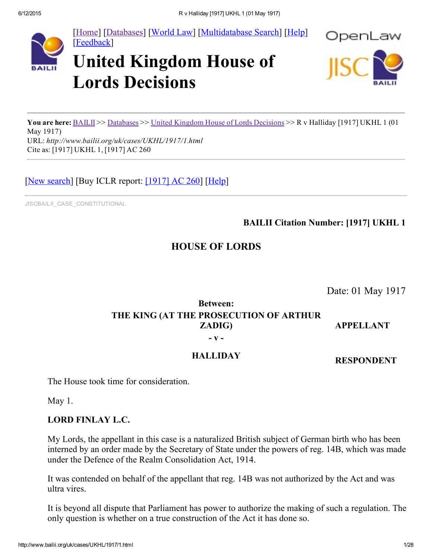[\[Home\]](http://www.bailii.org/) [[Databases\]](http://www.bailii.org/databases.html) [\[World](http://www.austlii.edu.au/links/World/) Law] [\[Multidatabase](http://www.bailii.org/form/search_multidatabase.html) Search] [\[Help\]](http://www.bailii.org/bailii/help/)



United Kingdom House of Lords Decisions



OpenLaw

You are here: [BAILII](http://www.bailii.org/) >> [Databases](http://www.bailii.org/databases.html) >> United Kingdom House of Lords [Decisions](http://www.bailii.org/uk/cases/UKHL/) >> R v Halliday [1917] UKHL 1 (01 May 1917) URL: http://www.bailii.org/uk/cases/UKHL/1917/1.html Cite as: [1917] UKHL 1, [1917] AC 260

[New [search\]](http://www.bailii.org/form/search_cases.html) [Buy ICLR report: [\[1917\]](https://shop.iclr.co.uk/Subscr/welcome.aspx?docId=XAC1917-1-260) AC 260] [\[Help\]](http://www.bailii.org/bailii/help/)

JISCBAILII CASE CONSTITUTIONAL

[\[Feedback\]](http://www.bailii.org/bailii/feedback.html)

BAILII Citation Number: [1917] UKHL 1

# HOUSE OF LORDS

Date: 01 May 1917

# Between: THE KING (AT THE PROSECUTION OF ARTHUR ZADIG) APPELLANT

 $-\mathbf{V}$  -

# HALLIDAY

RESPONDENT

The House took time for consideration.

May 1.

# LORD FINLAY L.C.

My Lords, the appellant in this case is a naturalized British subject of German birth who has been interned by an order made by the Secretary of State under the powers of reg. 14B, which was made under the Defence of the Realm Consolidation Act, 1914.

It was contended on behalf of the appellant that reg. 14B was not authorized by the Act and was ultra vires.

It is beyond all dispute that Parliament has power to authorize the making of such a regulation. The only question is whether on a true construction of the Act it has done so.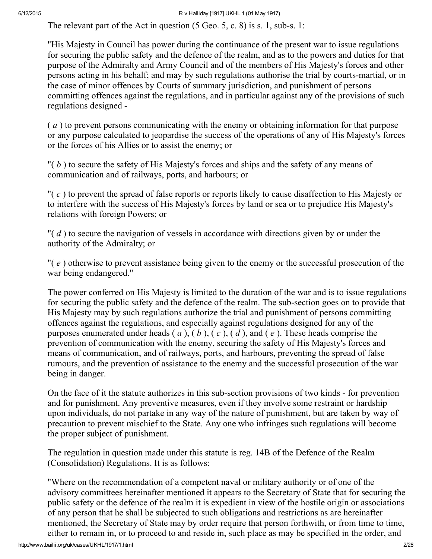The relevant part of the Act in question  $(5 \text{ Geo. } 5, \text{c. } 8)$  is s. 1, sub-s. 1:

"His Majesty in Council has power during the continuance of the present war to issue regulations for securing the public safety and the defence of the realm, and as to the powers and duties for that purpose of the Admiralty and Army Council and of the members of His Majesty's forces and other persons acting in his behalf; and may by such regulations authorise the trial by courts-martial, or in the case of minor offences by Courts of summary jurisdiction, and punishment of persons committing offences against the regulations, and in particular against any of the provisions of such regulations designed

 $(a)$  to prevent persons communicating with the enemy or obtaining information for that purpose or any purpose calculated to jeopardise the success of the operations of any of His Majesty's forces or the forces of his Allies or to assist the enemy; or

 $\mathcal{H}(b)$  to secure the safety of His Majesty's forces and ships and the safety of any means of communication and of railways, ports, and harbours; or

" $(c)$  to prevent the spread of false reports or reports likely to cause disaffection to His Majesty or to interfere with the success of His Majesty's forces by land or sea or to prejudice His Majesty's relations with foreign Powers; or

 $\mathcal{H}(d)$  to secure the navigation of vessels in accordance with directions given by or under the authority of the Admiralty; or

" $(e)$  otherwise to prevent assistance being given to the enemy or the successful prosecution of the war being endangered."

The power conferred on His Majesty is limited to the duration of the war and is to issue regulations for securing the public safety and the defence of the realm. The sub-section goes on to provide that His Majesty may by such regulations authorize the trial and punishment of persons committing offences against the regulations, and especially against regulations designed for any of the purposes enumerated under heads (a), (b), (c), (d), and (e). These heads comprise the prevention of communication with the enemy, securing the safety of His Majesty's forces and means of communication, and of railways, ports, and harbours, preventing the spread of false rumours, and the prevention of assistance to the enemy and the successful prosecution of the war being in danger.

On the face of it the statute authorizes in this sub-section provisions of two kinds - for prevention and for punishment. Any preventive measures, even if they involve some restraint or hardship upon individuals, do not partake in any way of the nature of punishment, but are taken by way of precaution to prevent mischief to the State. Any one who infringes such regulations will become the proper subject of punishment.

The regulation in question made under this statute is reg. 14B of the Defence of the Realm (Consolidation) Regulations. It is as follows:

"Where on the recommendation of a competent naval or military authority or of one of the advisory committees hereinafter mentioned it appears to the Secretary of State that for securing the public safety or the defence of the realm it is expedient in view of the hostile origin or associations of any person that he shall be subjected to such obligations and restrictions as are hereinafter mentioned, the Secretary of State may by order require that person forthwith, or from time to time, either to remain in, or to proceed to and reside in, such place as may be specified in the order, and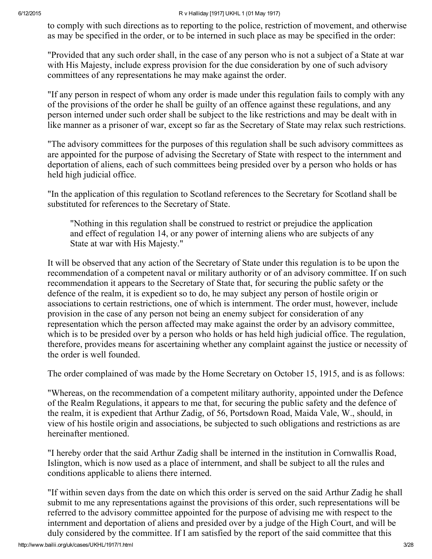to comply with such directions as to reporting to the police, restriction of movement, and otherwise as may be specified in the order, or to be interned in such place as may be specified in the order:

"Provided that any such order shall, in the case of any person who is not a subject of a State at war with His Majesty, include express provision for the due consideration by one of such advisory committees of any representations he may make against the order.

"If any person in respect of whom any order is made under this regulation fails to comply with any of the provisions of the order he shall be guilty of an offence against these regulations, and any person interned under such order shall be subject to the like restrictions and may be dealt with in like manner as a prisoner of war, except so far as the Secretary of State may relax such restrictions.

"The advisory committees for the purposes of this regulation shall be such advisory committees as are appointed for the purpose of advising the Secretary of State with respect to the internment and deportation of aliens, each of such committees being presided over by a person who holds or has held high judicial office.

"In the application of this regulation to Scotland references to the Secretary for Scotland shall be substituted for references to the Secretary of State.

"Nothing in this regulation shall be construed to restrict or prejudice the application and effect of regulation 14, or any power of interning aliens who are subjects of any State at war with His Majesty."

It will be observed that any action of the Secretary of State under this regulation is to be upon the recommendation of a competent naval or military authority or of an advisory committee. If on such recommendation it appears to the Secretary of State that, for securing the public safety or the defence of the realm, it is expedient so to do, he may subject any person of hostile origin or associations to certain restrictions, one of which is internment. The order must, however, include provision in the case of any person not being an enemy subject for consideration of any representation which the person affected may make against the order by an advisory committee, which is to be presided over by a person who holds or has held high judicial office. The regulation, therefore, provides means for ascertaining whether any complaint against the justice or necessity of the order is well founded.

The order complained of was made by the Home Secretary on October 15, 1915, and is as follows:

"Whereas, on the recommendation of a competent military authority, appointed under the Defence of the Realm Regulations, it appears to me that, for securing the public safety and the defence of the realm, it is expedient that Arthur Zadig, of 56, Portsdown Road, Maida Vale, W., should, in view of his hostile origin and associations, be subjected to such obligations and restrictions as are hereinafter mentioned.

"I hereby order that the said Arthur Zadig shall be interned in the institution in Cornwallis Road, Islington, which is now used as a place of internment, and shall be subject to all the rules and conditions applicable to aliens there interned.

"If within seven days from the date on which this order is served on the said Arthur Zadig he shall submit to me any representations against the provisions of this order, such representations will be referred to the advisory committee appointed for the purpose of advising me with respect to the internment and deportation of aliens and presided over by a judge of the High Court, and will be duly considered by the committee. If I am satisfied by the report of the said committee that this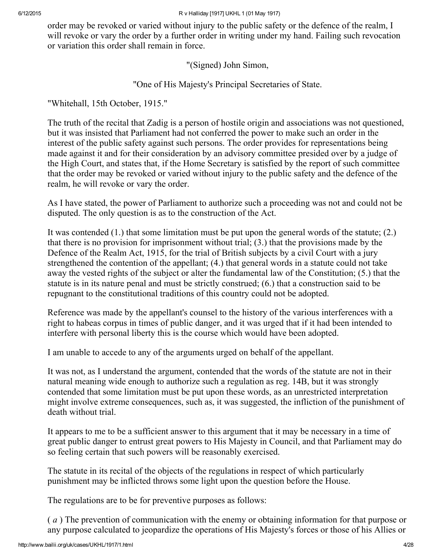order may be revoked or varied without injury to the public safety or the defence of the realm, I will revoke or vary the order by a further order in writing under my hand. Failing such revocation or variation this order shall remain in force.

"(Signed) John Simon,

"One of His Majesty's Principal Secretaries of State.

"Whitehall, 15th October, 1915."

The truth of the recital that Zadig is a person of hostile origin and associations was not questioned, but it was insisted that Parliament had not conferred the power to make such an order in the interest of the public safety against such persons. The order provides for representations being made against it and for their consideration by an advisory committee presided over by a judge of the High Court, and states that, if the Home Secretary is satisfied by the report of such committee that the order may be revoked or varied without injury to the public safety and the defence of the realm, he will revoke or vary the order.

As I have stated, the power of Parliament to authorize such a proceeding was not and could not be disputed. The only question is as to the construction of the Act.

It was contended (1.) that some limitation must be put upon the general words of the statute; (2.) that there is no provision for imprisonment without trial; (3.) that the provisions made by the Defence of the Realm Act, 1915, for the trial of British subjects by a civil Court with a jury strengthened the contention of the appellant; (4.) that general words in a statute could not take away the vested rights of the subject or alter the fundamental law of the Constitution; (5.) that the statute is in its nature penal and must be strictly construed; (6.) that a construction said to be repugnant to the constitutional traditions of this country could not be adopted.

Reference was made by the appellant's counsel to the history of the various interferences with a right to habeas corpus in times of public danger, and it was urged that if it had been intended to interfere with personal liberty this is the course which would have been adopted.

I am unable to accede to any of the arguments urged on behalf of the appellant.

It was not, as I understand the argument, contended that the words of the statute are not in their natural meaning wide enough to authorize such a regulation as reg. 14B, but it was strongly contended that some limitation must be put upon these words, as an unrestricted interpretation might involve extreme consequences, such as, it was suggested, the infliction of the punishment of death without trial.

It appears to me to be a sufficient answer to this argument that it may be necessary in a time of great public danger to entrust great powers to His Majesty in Council, and that Parliament may do so feeling certain that such powers will be reasonably exercised.

The statute in its recital of the objects of the regulations in respect of which particularly punishment may be inflicted throws some light upon the question before the House.

The regulations are to be for preventive purposes as follows:

 $(a)$  The prevention of communication with the enemy or obtaining information for that purpose or any purpose calculated to jeopardize the operations of His Majesty's forces or those of his Allies or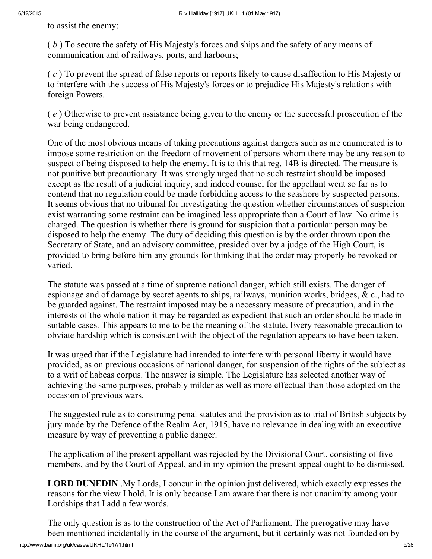to assist the enemy;

( b ) To secure the safety of His Majesty's forces and ships and the safety of any means of communication and of railways, ports, and harbours;

 $(c)$  To prevent the spread of false reports or reports likely to cause disaffection to His Majesty or to interfere with the success of His Majesty's forces or to prejudice His Majesty's relations with foreign Powers.

 $(e)$  Otherwise to prevent assistance being given to the enemy or the successful prosecution of the war being endangered.

One of the most obvious means of taking precautions against dangers such as are enumerated is to impose some restriction on the freedom of movement of persons whom there may be any reason to suspect of being disposed to help the enemy. It is to this that reg. 14B is directed. The measure is not punitive but precautionary. It was strongly urged that no such restraint should be imposed except as the result of a judicial inquiry, and indeed counsel for the appellant went so far as to contend that no regulation could be made forbidding access to the seashore by suspected persons. It seems obvious that no tribunal for investigating the question whether circumstances of suspicion exist warranting some restraint can be imagined less appropriate than a Court of law. No crime is charged. The question is whether there is ground for suspicion that a particular person may be disposed to help the enemy. The duty of deciding this question is by the order thrown upon the Secretary of State, and an advisory committee, presided over by a judge of the High Court, is provided to bring before him any grounds for thinking that the order may properly be revoked or varied.

The statute was passed at a time of supreme national danger, which still exists. The danger of espionage and of damage by secret agents to ships, railways, munition works, bridges,  $\&c$ , had to be guarded against. The restraint imposed may be a necessary measure of precaution, and in the interests of the whole nation it may be regarded as expedient that such an order should be made in suitable cases. This appears to me to be the meaning of the statute. Every reasonable precaution to obviate hardship which is consistent with the object of the regulation appears to have been taken.

It was urged that if the Legislature had intended to interfere with personal liberty it would have provided, as on previous occasions of national danger, for suspension of the rights of the subject as to a writ of habeas corpus. The answer is simple. The Legislature has selected another way of achieving the same purposes, probably milder as well as more effectual than those adopted on the occasion of previous wars.

The suggested rule as to construing penal statutes and the provision as to trial of British subjects by jury made by the Defence of the Realm Act, 1915, have no relevance in dealing with an executive measure by way of preventing a public danger.

The application of the present appellant was rejected by the Divisional Court, consisting of five members, and by the Court of Appeal, and in my opinion the present appeal ought to be dismissed.

LORD DUNEDIN .My Lords, I concur in the opinion just delivered, which exactly expresses the reasons for the view I hold. It is only because I am aware that there is not unanimity among your Lordships that I add a few words.

The only question is as to the construction of the Act of Parliament. The prerogative may have been mentioned incidentally in the course of the argument, but it certainly was not founded on by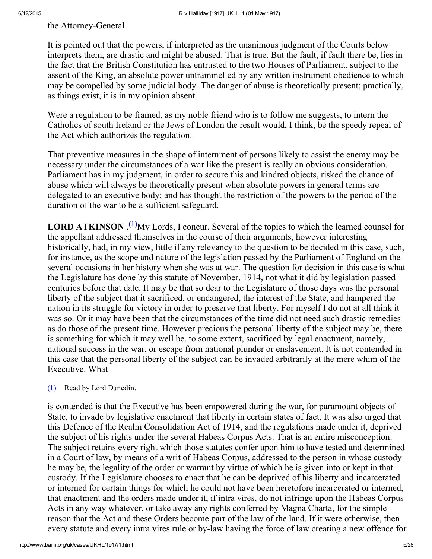the Attorney-General.

It is pointed out that the powers, if interpreted as the unanimous judgment of the Courts below interprets them, are drastic and might be abused. That is true. But the fault, if fault there be, lies in the fact that the British Constitution has entrusted to the two Houses of Parliament, subject to the assent of the King, an absolute power untrammelled by any written instrument obedience to which may be compelled by some judicial body. The danger of abuse is theoretically present; practically, as things exist, it is in my opinion absent.

Were a regulation to be framed, as my noble friend who is to follow me suggests, to intern the Catholics of south Ireland or the Jews of London the result would, I think, be the speedy repeal of the Act which authorizes the regulation.

That preventive measures in the shape of internment of persons likely to assist the enemy may be necessary under the circumstances of a war like the present is really an obvious consideration. Parliament has in my judgment, in order to secure this and kindred objects, risked the chance of abuse which will always be theoretically present when absolute powers in general terms are delegated to an executive body; and has thought the restriction of the powers to the period of the duration of the war to be a sufficient safeguard.

**LORD ATKINSON**.<sup>(1)</sup>My Lords, I concur. Several of the topics to which the learned counsel for the appellant addressed themselves in the course of their arguments, however interesting historically, had, in my view, little if any relevancy to the question to be decided in this case, such, for instance, as the scope and nature of the legislation passed by the Parliament of England on the several occasions in her history when she was at war. The question for decision in this case is what the Legislature has done by this statute of November, 1914, not what it did by legislation passed centuries before that date. It may be that so dear to the Legislature of those days was the personal liberty of the subject that it sacrificed, or endangered, the interest of the State, and hampered the nation in its struggle for victory in order to preserve that liberty. For myself I do not at all think it was so. Or it may have been that the circumstances of the time did not need such drastic remedies as do those of the present time. However precious the personal liberty of the subject may be, there is something for which it may well be, to some extent, sacrificed by legal enactment, namely, national success in the war, or escape from national plunder or enslavement. It is not contended in this case that the personal liberty of the subject can be invaded arbitrarily at the mere whim of the Executive. What

### (1) Read by Lord Dunedin.

is contended is that the Executive has been empowered during the war, for paramount objects of State, to invade by legislative enactment that liberty in certain states of fact. It was also urged that this Defence of the Realm Consolidation Act of 1914, and the regulations made under it, deprived the subject of his rights under the several Habeas Corpus Acts. That is an entire misconception. The subject retains every right which those statutes confer upon him to have tested and determined in a Court of law, by means of a writ of Habeas Corpus, addressed to the person in whose custody he may be, the legality of the order or warrant by virtue of which he is given into or kept in that custody. If the Legislature chooses to enact that he can be deprived of his liberty and incarcerated or interned for certain things for which he could not have been heretofore incarcerated or interned, that enactment and the orders made under it, if intra vires, do not infringe upon the Habeas Corpus Acts in any way whatever, or take away any rights conferred by Magna Charta, for the simple reason that the Act and these Orders become part of the law of the land. If it were otherwise, then every statute and every intra vires rule or by-law having the force of law creating a new offence for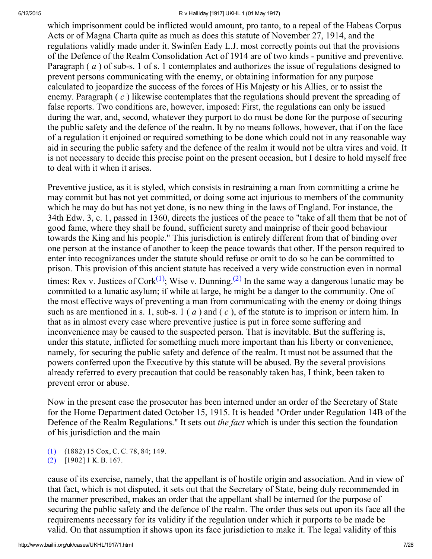which imprisonment could be inflicted would amount, pro tanto, to a repeal of the Habeas Corpus Acts or of Magna Charta quite as much as does this statute of November 27, 1914, and the regulations validly made under it. Swinfen Eady L.J. most correctly points out that the provisions of the Defence of the Realm Consolidation Act of 1914 are of two kinds - punitive and preventive. Paragraph ( $a$ ) of sub-s. 1 of s. 1 contemplates and authorizes the issue of regulations designed to prevent persons communicating with the enemy, or obtaining information for any purpose calculated to jeopardize the success of the forces of His Majesty or his Allies, or to assist the enemy. Paragraph  $(c)$  likewise contemplates that the regulations should prevent the spreading of false reports. Two conditions are, however, imposed: First, the regulations can only be issued during the war, and, second, whatever they purport to do must be done for the purpose of securing the public safety and the defence of the realm. It by no means follows, however, that if on the face of a regulation it enjoined or required something to be done which could not in any reasonable way aid in securing the public safety and the defence of the realm it would not be ultra vires and void. It is not necessary to decide this precise point on the present occasion, but I desire to hold myself free to deal with it when it arises.

Preventive justice, as it is styled, which consists in restraining a man from committing a crime he may commit but has not yet committed, or doing some act injurious to members of the community which he may do but has not yet done, is no new thing in the laws of England. For instance, the 34th Edw. 3, c. 1, passed in 1360, directs the justices of the peace to "take of all them that be not of good fame, where they shall be found, sufficient surety and mainprise of their good behaviour towards the King and his people." This jurisdiction is entirely different from that of binding over one person at the instance of another to keep the peace towards that other. If the person required to enter into recognizances under the statute should refuse or omit to do so he can be committed to prison. This provision of this ancient statute has received a very wide construction even in normal times: Rex v. Justices of Cork<sup>(1)</sup>; Wise v. Dunning.<sup>(2)</sup> In the same way a dangerous lunatic may be committed to a lunatic asylum; if while at large, he might be a danger to the community. One of the most effective ways of preventing a man from communicating with the enemy or doing things such as are mentioned in s. 1, sub-s. 1 (a) and (c), of the statute is to imprison or intern him. In that as in almost every case where preventive justice is put in force some suffering and inconvenience may be caused to the suspected person. That is inevitable. But the suffering is, under this statute, inflicted for something much more important than his liberty or convenience, namely, for securing the public safety and defence of the realm. It must not be assumed that the powers conferred upon the Executive by this statute will be abused. By the several provisions already referred to every precaution that could be reasonably taken has, I think, been taken to prevent error or abuse.

Now in the present case the prosecutor has been interned under an order of the Secretary of State for the Home Department dated October 15, 1915. It is headed "Order under Regulation 14B of the Defence of the Realm Regulations." It sets out *the fact* which is under this section the foundation of his jurisdiction and the main

(1) (1882) 15 Cox, C. C. 78, 84; 149.

cause of its exercise, namely, that the appellant is of hostile origin and association. And in view of that fact, which is not disputed, it sets out that the Secretary of State, being duly recommended in the manner prescribed, makes an order that the appellant shall be interned for the purpose of securing the public safety and the defence of the realm. The order thus sets out upon its face all the requirements necessary for its validity if the regulation under which it purports to be made be valid. On that assumption it shows upon its face jurisdiction to make it. The legal validity of this

<sup>(2)</sup> [1902] 1 K. B. 167.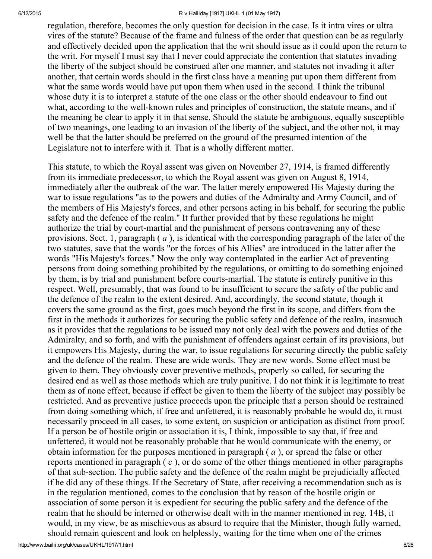regulation, therefore, becomes the only question for decision in the case. Is it intra vires or ultra vires of the statute? Because of the frame and fulness of the order that question can be as regularly and effectively decided upon the application that the writ should issue as it could upon the return to the writ. For myself I must say that I never could appreciate the contention that statutes invading the liberty of the subject should be construed after one manner, and statutes not invading it after another, that certain words should in the first class have a meaning put upon them different from what the same words would have put upon them when used in the second. I think the tribunal whose duty it is to interpret a statute of the one class or the other should endeavour to find out what, according to the well-known rules and principles of construction, the statute means, and if the meaning be clear to apply it in that sense. Should the statute be ambiguous, equally susceptible of two meanings, one leading to an invasion of the liberty of the subject, and the other not, it may well be that the latter should be preferred on the ground of the presumed intention of the Legislature not to interfere with it. That is a wholly different matter.

This statute, to which the Royal assent was given on November 27, 1914, is framed differently from its immediate predecessor, to which the Royal assent was given on August 8, 1914, immediately after the outbreak of the war. The latter merely empowered His Majesty during the war to issue regulations "as to the powers and duties of the Admiralty and Army Council, and of the members of His Majesty's forces, and other persons acting in his behalf, for securing the public safety and the defence of the realm." It further provided that by these regulations he might authorize the trial by court-martial and the punishment of persons contravening any of these provisions. Sect. 1, paragraph ( $a$ ), is identical with the corresponding paragraph of the later of the two statutes, save that the words "or the forces of his Allies" are introduced in the latter after the words "His Majesty's forces." Now the only way contemplated in the earlier Act of preventing persons from doing something prohibited by the regulations, or omitting to do something enjoined by them, is by trial and punishment before courts-martial. The statute is entirely punitive in this respect. Well, presumably, that was found to be insufficient to secure the safety of the public and the defence of the realm to the extent desired. And, accordingly, the second statute, though it covers the same ground as the first, goes much beyond the first in its scope, and differs from the first in the methods it authorizes for securing the public safety and defence of the realm, inasmuch as it provides that the regulations to be issued may not only deal with the powers and duties of the Admiralty, and so forth, and with the punishment of offenders against certain of its provisions, but it empowers His Majesty, during the war, to issue regulations for securing directly the public safety and the defence of the realm. These are wide words. They are new words. Some effect must be given to them. They obviously cover preventive methods, properly so called, for securing the desired end as well as those methods which are truly punitive. I do not think it is legitimate to treat them as of none effect, because if effect be given to them the liberty of the subject may possibly be restricted. And as preventive justice proceeds upon the principle that a person should be restrained from doing something which, if free and unfettered, it is reasonably probable he would do, it must necessarily proceed in all cases, to some extent, on suspicion or anticipation as distinct from proof. If a person be of hostile origin or association it is, I think, impossible to say that, if free and unfettered, it would not be reasonably probable that he would communicate with the enemy, or obtain information for the purposes mentioned in paragraph  $(a)$ , or spread the false or other reports mentioned in paragraph  $(c)$ , or do some of the other things mentioned in other paragraphs of that sub-section. The public safety and the defence of the realm might be prejudicially affected if he did any of these things. If the Secretary of State, after receiving a recommendation such as is in the regulation mentioned, comes to the conclusion that by reason of the hostile origin or association of some person it is expedient for securing the public safety and the defence of the realm that he should be interned or otherwise dealt with in the manner mentioned in reg. 14B, it would, in my view, be as mischievous as absurd to require that the Minister, though fully warned, should remain quiescent and look on helplessly, waiting for the time when one of the crimes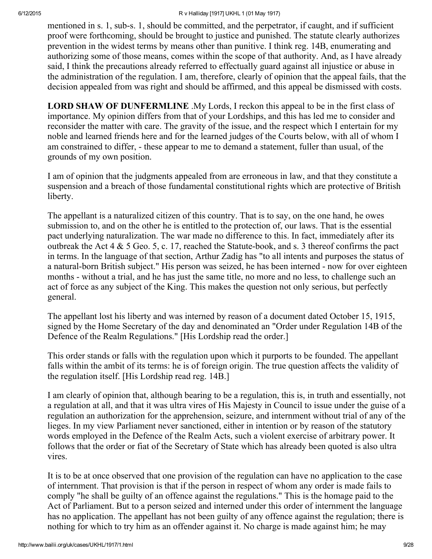mentioned in s. 1, sub-s. 1, should be committed, and the perpetrator, if caught, and if sufficient proof were forthcoming, should be brought to justice and punished. The statute clearly authorizes prevention in the widest terms by means other than punitive. I think reg. 14B, enumerating and authorizing some of those means, comes within the scope of that authority. And, as I have already said, I think the precautions already referred to effectually guard against all injustice or abuse in the administration of the regulation. I am, therefore, clearly of opinion that the appeal fails, that the decision appealed from was right and should be affirmed, and this appeal be dismissed with costs.

LORD SHAW OF DUNFERMLINE .My Lords, I reckon this appeal to be in the first class of importance. My opinion differs from that of your Lordships, and this has led me to consider and reconsider the matter with care. The gravity of the issue, and the respect which I entertain for my noble and learned friends here and for the learned judges of the Courts below, with all of whom I am constrained to differ, these appear to me to demand a statement, fuller than usual, of the grounds of my own position.

I am of opinion that the judgments appealed from are erroneous in law, and that they constitute a suspension and a breach of those fundamental constitutional rights which are protective of British liberty.

The appellant is a naturalized citizen of this country. That is to say, on the one hand, he owes submission to, and on the other he is entitled to the protection of, our laws. That is the essential pact underlying naturalization. The war made no difference to this. In fact, immediately after its outbreak the Act  $4 \& 5$  Geo. 5, c. 17, reached the Statute-book, and s. 3 thereof confirms the pact in terms. In the language of that section, Arthur Zadig has "to all intents and purposes the status of a natural-born British subject." His person was seized, he has been interned - now for over eighteen months - without a trial, and he has just the same title, no more and no less, to challenge such an act of force as any subject of the King. This makes the question not only serious, but perfectly general.

The appellant lost his liberty and was interned by reason of a document dated October 15, 1915, signed by the Home Secretary of the day and denominated an "Order under Regulation 14B of the Defence of the Realm Regulations." [His Lordship read the order.]

This order stands or falls with the regulation upon which it purports to be founded. The appellant falls within the ambit of its terms: he is of foreign origin. The true question affects the validity of the regulation itself. [His Lordship read reg. 14B.]

I am clearly of opinion that, although bearing to be a regulation, this is, in truth and essentially, not a regulation at all, and that it was ultra vires of His Majesty in Council to issue under the guise of a regulation an authorization for the apprehension, seizure, and internment without trial of any of the lieges. In my view Parliament never sanctioned, either in intention or by reason of the statutory words employed in the Defence of the Realm Acts, such a violent exercise of arbitrary power. It follows that the order or fiat of the Secretary of State which has already been quoted is also ultra vires.

It is to be at once observed that one provision of the regulation can have no application to the case of internment. That provision is that if the person in respect of whom any order is made fails to comply "he shall be guilty of an offence against the regulations." This is the homage paid to the Act of Parliament. But to a person seized and interned under this order of internment the language has no application. The appellant has not been guilty of any offence against the regulation; there is nothing for which to try him as an offender against it. No charge is made against him; he may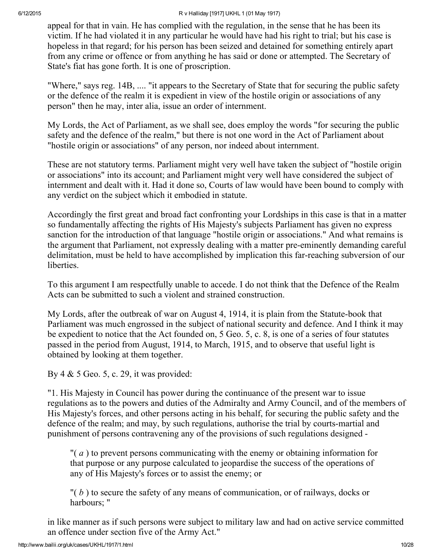appeal for that in vain. He has complied with the regulation, in the sense that he has been its victim. If he had violated it in any particular he would have had his right to trial; but his case is hopeless in that regard; for his person has been seized and detained for something entirely apart from any crime or offence or from anything he has said or done or attempted. The Secretary of State's fiat has gone forth. It is one of proscription.

"Where," says reg. 14B, .... "it appears to the Secretary of State that for securing the public safety or the defence of the realm it is expedient in view of the hostile origin or associations of any person" then he may, inter alia, issue an order of internment.

My Lords, the Act of Parliament, as we shall see, does employ the words "for securing the public safety and the defence of the realm," but there is not one word in the Act of Parliament about "hostile origin or associations" of any person, nor indeed about internment.

These are not statutory terms. Parliament might very well have taken the subject of "hostile origin or associations" into its account; and Parliament might very well have considered the subject of internment and dealt with it. Had it done so, Courts of law would have been bound to comply with any verdict on the subject which it embodied in statute.

Accordingly the first great and broad fact confronting your Lordships in this case is that in a matter so fundamentally affecting the rights of His Majesty's subjects Parliament has given no express sanction for the introduction of that language "hostile origin or associations." And what remains is the argument that Parliament, not expressly dealing with a matter pre-eminently demanding careful delimitation, must be held to have accomplished by implication this far-reaching subversion of our liberties.

To this argument I am respectfully unable to accede. I do not think that the Defence of the Realm Acts can be submitted to such a violent and strained construction.

My Lords, after the outbreak of war on August 4, 1914, it is plain from the Statute-book that Parliament was much engrossed in the subject of national security and defence. And I think it may be expedient to notice that the Act founded on, 5 Geo. 5, c. 8, is one of a series of four statutes passed in the period from August, 1914, to March, 1915, and to observe that useful light is obtained by looking at them together.

By  $4 \& 5 \text{ Geo. } 5$ , c. 29, it was provided:

"1. His Majesty in Council has power during the continuance of the present war to issue regulations as to the powers and duties of the Admiralty and Army Council, and of the members of His Majesty's forces, and other persons acting in his behalf, for securing the public safety and the defence of the realm; and may, by such regulations, authorise the trial by courts-martial and punishment of persons contravening any of the provisions of such regulations designed

 $\eta$  (a) to prevent persons communicating with the enemy or obtaining information for that purpose or any purpose calculated to jeopardise the success of the operations of any of His Majesty's forces or to assist the enemy; or

" $(b)$  to secure the safety of any means of communication, or of railways, docks or harbours; "

in like manner as if such persons were subject to military law and had on active service committed an offence under section five of the Army Act."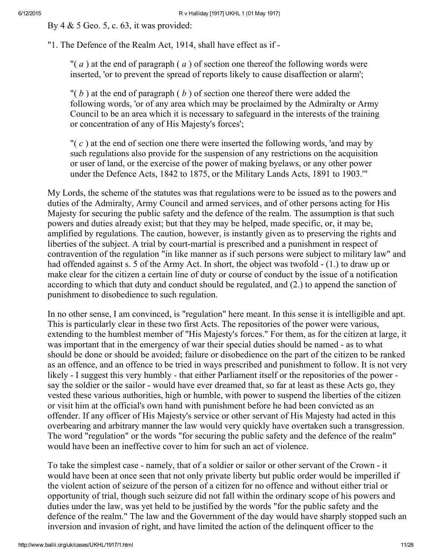By  $4 \& 5 \text{ Geo. } 5$ , c. 63, it was provided:

"1. The Defence of the Realm Act, 1914, shall have effect as if

"(a) at the end of paragraph (a) of section one thereof the following words were inserted, 'or to prevent the spread of reports likely to cause disaffection or alarm';

 $\mathcal{H}(b)$  at the end of paragraph ( b) of section one thereof there were added the following words, 'or of any area which may be proclaimed by the Admiralty or Army Council to be an area which it is necessary to safeguard in the interests of the training or concentration of any of His Majesty's forces';

 $\Gamma(c)$  at the end of section one there were inserted the following words, 'and may by such regulations also provide for the suspension of any restrictions on the acquisition or user of land, or the exercise of the power of making byelaws, or any other power under the Defence Acts, 1842 to 1875, or the Military Lands Acts, 1891 to 1903.'"

My Lords, the scheme of the statutes was that regulations were to be issued as to the powers and duties of the Admiralty, Army Council and armed services, and of other persons acting for His Majesty for securing the public safety and the defence of the realm. The assumption is that such powers and duties already exist; but that they may be helped, made specific, or, it may be, amplified by regulations. The caution, however, is instantly given as to preserving the rights and liberties of the subject. A trial by court-martial is prescribed and a punishment in respect of contravention of the regulation "in like manner as if such persons were subject to military law" and had offended against s. 5 of the Army Act. In short, the object was twofold - (1.) to draw up or make clear for the citizen a certain line of duty or course of conduct by the issue of a notification according to which that duty and conduct should be regulated, and (2.) to append the sanction of punishment to disobedience to such regulation.

In no other sense, I am convinced, is "regulation" here meant. In this sense it is intelligible and apt. This is particularly clear in these two first Acts. The repositories of the power were various, extending to the humblest member of "His Majesty's forces." For them, as for the citizen at large, it was important that in the emergency of war their special duties should be named - as to what should be done or should be avoided; failure or disobedience on the part of the citizen to be ranked as an offence, and an offence to be tried in ways prescribed and punishment to follow. It is not very likely - I suggest this very humbly - that either Parliament itself or the repositories of the power say the soldier or the sailor - would have ever dreamed that, so far at least as these Acts go, they vested these various authorities, high or humble, with power to suspend the liberties of the citizen or visit him at the official's own hand with punishment before he had been convicted as an offender. If any officer of His Majesty's service or other servant of His Majesty had acted in this overbearing and arbitrary manner the law would very quickly have overtaken such a transgression. The word "regulation" or the words "for securing the public safety and the defence of the realm" would have been an ineffective cover to him for such an act of violence.

To take the simplest case - namely, that of a soldier or sailor or other servant of the Crown - it would have been at once seen that not only private liberty but public order would be imperilled if the violent action of seizure of the person of a citizen for no offence and without either trial or opportunity of trial, though such seizure did not fall within the ordinary scope of his powers and duties under the law, was yet held to be justified by the words "for the public safety and the defence of the realm." The law and the Government of the day would have sharply stopped such an inversion and invasion of right, and have limited the action of the delinquent officer to the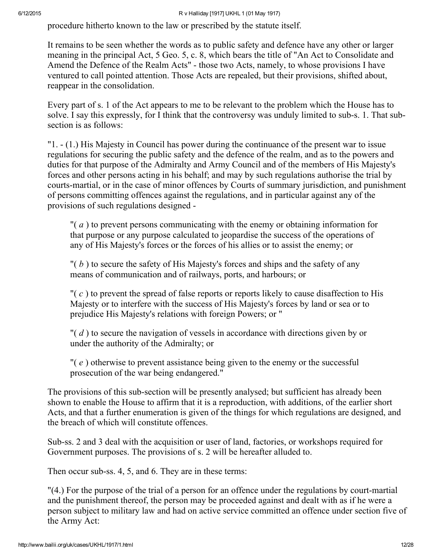procedure hitherto known to the law or prescribed by the statute itself.

It remains to be seen whether the words as to public safety and defence have any other or larger meaning in the principal Act, 5 Geo. 5, c. 8, which bears the title of "An Act to Consolidate and Amend the Defence of the Realm Acts" - those two Acts, namely, to whose provisions I have ventured to call pointed attention. Those Acts are repealed, but their provisions, shifted about, reappear in the consolidation.

Every part of s. 1 of the Act appears to me to be relevant to the problem which the House has to solve. I say this expressly, for I think that the controversy was unduly limited to sub-s. 1. That subsection is as follows:

"1. (1.) His Majesty in Council has power during the continuance of the present war to issue regulations for securing the public safety and the defence of the realm, and as to the powers and duties for that purpose of the Admiralty and Army Council and of the members of His Majesty's forces and other persons acting in his behalf; and may by such regulations authorise the trial by courts-martial, or in the case of minor offences by Courts of summary jurisdiction, and punishment of persons committing offences against the regulations, and in particular against any of the provisions of such regulations designed

 $\Gamma(a)$  to prevent persons communicating with the enemy or obtaining information for that purpose or any purpose calculated to jeopardise the success of the operations of any of His Majesty's forces or the forces of his allies or to assist the enemy; or

 $\mathcal{H}(b)$  to secure the safety of His Majesty's forces and ships and the safety of any means of communication and of railways, ports, and harbours; or

" $(c)$  to prevent the spread of false reports or reports likely to cause disaffection to His Majesty or to interfere with the success of His Majesty's forces by land or sea or to prejudice His Majesty's relations with foreign Powers; or "

 $\mathcal{H}(d)$  to secure the navigation of vessels in accordance with directions given by or under the authority of the Admiralty; or

 $\degree$  (e) otherwise to prevent assistance being given to the enemy or the successful prosecution of the war being endangered."

The provisions of this sub-section will be presently analysed; but sufficient has already been shown to enable the House to affirm that it is a reproduction, with additions, of the earlier short Acts, and that a further enumeration is given of the things for which regulations are designed, and the breach of which will constitute offences.

Sub-ss. 2 and 3 deal with the acquisition or user of land, factories, or workshops required for Government purposes. The provisions of s. 2 will be hereafter alluded to.

Then occur sub-ss. 4, 5, and 6. They are in these terms:

 $''(4)$ . For the purpose of the trial of a person for an offence under the regulations by court-martial and the punishment thereof, the person may be proceeded against and dealt with as if he were a person subject to military law and had on active service committed an offence under section five of the Army Act: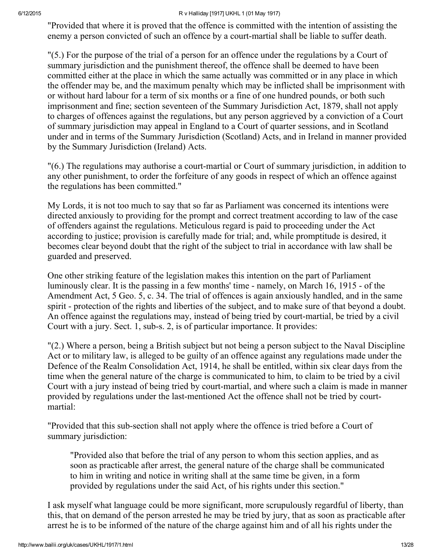"Provided that where it is proved that the offence is committed with the intention of assisting the enemy a person convicted of such an offence by a court-martial shall be liable to suffer death.

"(5.) For the purpose of the trial of a person for an offence under the regulations by a Court of summary jurisdiction and the punishment thereof, the offence shall be deemed to have been committed either at the place in which the same actually was committed or in any place in which the offender may be, and the maximum penalty which may be inflicted shall be imprisonment with or without hard labour for a term of six months or a fine of one hundred pounds, or both such imprisonment and fine; section seventeen of the Summary Jurisdiction Act, 1879, shall not apply to charges of offences against the regulations, but any person aggrieved by a conviction of a Court of summary jurisdiction may appeal in England to a Court of quarter sessions, and in Scotland under and in terms of the Summary Jurisdiction (Scotland) Acts, and in Ireland in manner provided by the Summary Jurisdiction (Ireland) Acts.

"(6.) The regulations may authorise a court-martial or Court of summary jurisdiction, in addition to any other punishment, to order the forfeiture of any goods in respect of which an offence against the regulations has been committed."

My Lords, it is not too much to say that so far as Parliament was concerned its intentions were directed anxiously to providing for the prompt and correct treatment according to law of the case of offenders against the regulations. Meticulous regard is paid to proceeding under the Act according to justice; provision is carefully made for trial; and, while promptitude is desired, it becomes clear beyond doubt that the right of the subject to trial in accordance with law shall be guarded and preserved.

One other striking feature of the legislation makes this intention on the part of Parliament luminously clear. It is the passing in a few months' time - namely, on March 16, 1915 - of the Amendment Act, 5 Geo. 5, c. 34. The trial of offences is again anxiously handled, and in the same spirit - protection of the rights and liberties of the subject, and to make sure of that beyond a doubt. An offence against the regulations may, instead of being tried by court-martial, be tried by a civil Court with a jury. Sect. 1, sub-s. 2, is of particular importance. It provides:

"(2.) Where a person, being a British subject but not being a person subject to the Naval Discipline Act or to military law, is alleged to be guilty of an offence against any regulations made under the Defence of the Realm Consolidation Act, 1914, he shall be entitled, within six clear days from the time when the general nature of the charge is communicated to him, to claim to be tried by a civil Court with a jury instead of being tried by court-martial, and where such a claim is made in manner provided by regulations under the last-mentioned Act the offence shall not be tried by courtmartial:

"Provided that this sub-section shall not apply where the offence is tried before a Court of summary jurisdiction:

"Provided also that before the trial of any person to whom this section applies, and as soon as practicable after arrest, the general nature of the charge shall be communicated to him in writing and notice in writing shall at the same time be given, in a form provided by regulations under the said Act, of his rights under this section."

I ask myself what language could be more significant, more scrupulously regardful of liberty, than this, that on demand of the person arrested he may be tried by jury, that as soon as practicable after arrest he is to be informed of the nature of the charge against him and of all his rights under the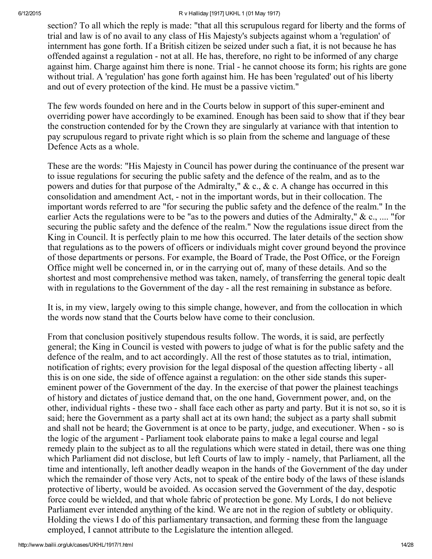section? To all which the reply is made: "that all this scrupulous regard for liberty and the forms of trial and law is of no avail to any class of His Majesty's subjects against whom a 'regulation' of internment has gone forth. If a British citizen be seized under such a fiat, it is not because he has offended against a regulation - not at all. He has, therefore, no right to be informed of any charge against him. Charge against him there is none. Trial - he cannot choose its form; his rights are gone without trial. A 'regulation' has gone forth against him. He has been 'regulated' out of his liberty and out of every protection of the kind. He must be a passive victim."

The few words founded on here and in the Courts below in support of this super-eminent and overriding power have accordingly to be examined. Enough has been said to show that if they bear the construction contended for by the Crown they are singularly at variance with that intention to pay scrupulous regard to private right which is so plain from the scheme and language of these Defence Acts as a whole.

These are the words: "His Majesty in Council has power during the continuance of the present war to issue regulations for securing the public safety and the defence of the realm, and as to the powers and duties for that purpose of the Admiralty,"  $\&c., \&c.$  A change has occurred in this consolidation and amendment Act, - not in the important words, but in their collocation. The important words referred to are "for securing the public safety and the defence of the realm." In the earlier Acts the regulations were to be "as to the powers and duties of the Admiralty," & c., .... "for securing the public safety and the defence of the realm." Now the regulations issue direct from the King in Council. It is perfectly plain to me how this occurred. The later details of the section show that regulations as to the powers of officers or individuals might cover ground beyond the province of those departments or persons. For example, the Board of Trade, the Post Office, or the Foreign Office might well be concerned in, or in the carrying out of, many of these details. And so the shortest and most comprehensive method was taken, namely, of transferring the general topic dealt with in regulations to the Government of the day - all the rest remaining in substance as before.

It is, in my view, largely owing to this simple change, however, and from the collocation in which the words now stand that the Courts below have come to their conclusion.

From that conclusion positively stupendous results follow. The words, it is said, are perfectly general; the King in Council is vested with powers to judge of what is for the public safety and the defence of the realm, and to act accordingly. All the rest of those statutes as to trial, intimation, notification of rights; every provision for the legal disposal of the question affecting liberty - all this is on one side, the side of offence against a regulation: on the other side stands this supereminent power of the Government of the day. In the exercise of that power the plainest teachings of history and dictates of justice demand that, on the one hand, Government power, and, on the other, individual rights - these two - shall face each other as party and party. But it is not so, so it is said; here the Government as a party shall act at its own hand; the subject as a party shall submit and shall not be heard; the Government is at once to be party, judge, and executioner. When - so is the logic of the argument Parliament took elaborate pains to make a legal course and legal remedy plain to the subject as to all the regulations which were stated in detail, there was one thing which Parliament did not disclose, but left Courts of law to imply - namely, that Parliament, all the time and intentionally, left another deadly weapon in the hands of the Government of the day under which the remainder of those very Acts, not to speak of the entire body of the laws of these islands protective of liberty, would be avoided. As occasion served the Government of the day, despotic force could be wielded, and that whole fabric of protection be gone. My Lords, I do not believe Parliament ever intended anything of the kind. We are not in the region of subtlety or obliquity. Holding the views I do of this parliamentary transaction, and forming these from the language employed, I cannot attribute to the Legislature the intention alleged.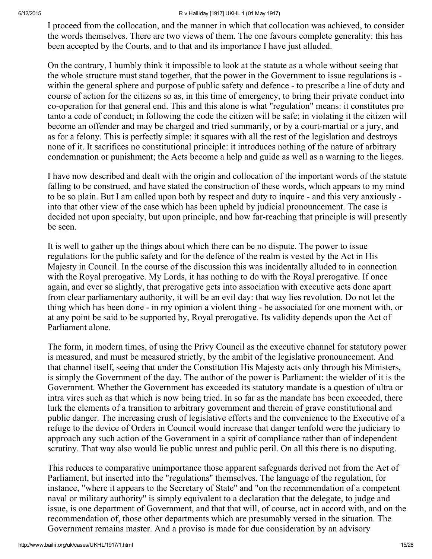I proceed from the collocation, and the manner in which that collocation was achieved, to consider the words themselves. There are two views of them. The one favours complete generality: this has been accepted by the Courts, and to that and its importance I have just alluded.

On the contrary, I humbly think it impossible to look at the statute as a whole without seeing that the whole structure must stand together, that the power in the Government to issue regulations is within the general sphere and purpose of public safety and defence - to prescribe a line of duty and course of action for the citizens so as, in this time of emergency, to bring their private conduct into co-operation for that general end. This and this alone is what "regulation" means: it constitutes pro tanto a code of conduct; in following the code the citizen will be safe; in violating it the citizen will become an offender and may be charged and tried summarily, or by a court-martial or a jury, and as for a felony. This is perfectly simple: it squares with all the rest of the legislation and destroys none of it. It sacrifices no constitutional principle: it introduces nothing of the nature of arbitrary condemnation or punishment; the Acts become a help and guide as well as a warning to the lieges.

I have now described and dealt with the origin and collocation of the important words of the statute falling to be construed, and have stated the construction of these words, which appears to my mind to be so plain. But I am called upon both by respect and duty to inquire - and this very anxiously into that other view of the case which has been upheld by judicial pronouncement. The case is decided not upon specialty, but upon principle, and how far-reaching that principle is will presently be seen.

It is well to gather up the things about which there can be no dispute. The power to issue regulations for the public safety and for the defence of the realm is vested by the Act in His Majesty in Council. In the course of the discussion this was incidentally alluded to in connection with the Royal prerogative. My Lords, it has nothing to do with the Royal prerogative. If once again, and ever so slightly, that prerogative gets into association with executive acts done apart from clear parliamentary authority, it will be an evil day: that way lies revolution. Do not let the thing which has been done - in my opinion a violent thing - be associated for one moment with, or at any point be said to be supported by, Royal prerogative. Its validity depends upon the Act of Parliament alone.

The form, in modern times, of using the Privy Council as the executive channel for statutory power is measured, and must be measured strictly, by the ambit of the legislative pronouncement. And that channel itself, seeing that under the Constitution His Majesty acts only through his Ministers, is simply the Government of the day. The author of the power is Parliament: the wielder of it is the Government. Whether the Government has exceeded its statutory mandate is a question of ultra or intra vires such as that which is now being tried. In so far as the mandate has been exceeded, there lurk the elements of a transition to arbitrary government and therein of grave constitutional and public danger. The increasing crush of legislative efforts and the convenience to the Executive of a refuge to the device of Orders in Council would increase that danger tenfold were the judiciary to approach any such action of the Government in a spirit of compliance rather than of independent scrutiny. That way also would lie public unrest and public peril. On all this there is no disputing.

This reduces to comparative unimportance those apparent safeguards derived not from the Act of Parliament, but inserted into the "regulations" themselves. The language of the regulation, for instance, "where it appears to the Secretary of State" and "on the recommendation of a competent naval or military authority" is simply equivalent to a declaration that the delegate, to judge and issue, is one department of Government, and that that will, of course, act in accord with, and on the recommendation of, those other departments which are presumably versed in the situation. The Government remains master. And a proviso is made for due consideration by an advisory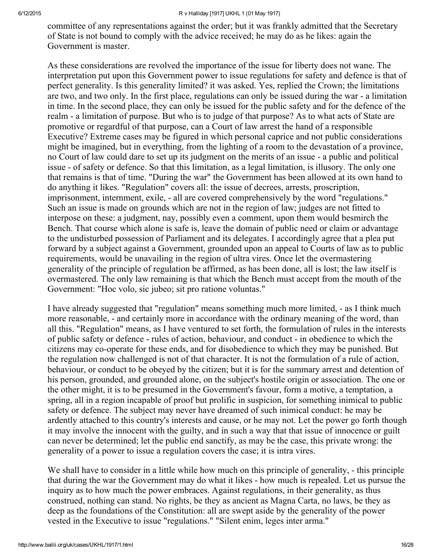committee of any representations against the order; but it was frankly admitted that the Secretary of State is not bound to comply with the advice received; he may do as he likes: again the Government is master.

As these considerations are revolved the importance of the issue for liberty does not wane. The interpretation put upon this Government power to issue regulations for safety and defence is that of perfect generality. Is this generality limited? it was asked. Yes, replied the Crown; the limitations are two, and two only. In the first place, regulations can only be issued during the war - a limitation in time. In the second place, they can only be issued for the public safety and for the defence of the realm - a limitation of purpose. But who is to judge of that purpose? As to what acts of State are promotive or regardful of that purpose, can a Court of law arrest the hand of a responsible Executive? Extreme cases may be figured in which personal caprice and not public considerations might be imagined, but in everything, from the lighting of a room to the devastation of a province, no Court of law could dare to set up its judgment on the merits of an issue - a public and political issue - of safety or defence. So that this limitation, as a legal limitation, is illusory. The only one that remains is that of time. "During the war" the Government has been allowed at its own hand to do anything it likes. "Regulation" covers all: the issue of decrees, arrests, proscription, imprisonment, internment, exile, - all are covered comprehensively by the word "regulations." Such an issue is made on grounds which are not in the region of law; judges are not fitted to interpose on these: a judgment, nay, possibly even a comment, upon them would besmirch the Bench. That course which alone is safe is, leave the domain of public need or claim or advantage to the undisturbed possession of Parliament and its delegates. I accordingly agree that a plea put forward by a subject against a Government, grounded upon an appeal to Courts of law as to public requirements, would be unavailing in the region of ultra vires. Once let the overmastering generality of the principle of regulation be affirmed, as has been done, all is lost; the law itself is overmastered. The only law remaining is that which the Bench must accept from the mouth of the Government: "Hoc volo, sic jubeo; sit pro ratione voluntas."

I have already suggested that "regulation" means something much more limited, - as I think much more reasonable, - and certainly more in accordance with the ordinary meaning of the word, than all this. "Regulation" means, as I have ventured to set forth, the formulation of rules in the interests of public safety or defence rules of action, behaviour, and conduct in obedience to which the citizens may co-operate for these ends, and for disobedience to which they may be punished. But the regulation now challenged is not of that character. It is not the formulation of a rule of action, behaviour, or conduct to be obeyed by the citizen; but it is for the summary arrest and detention of his person, grounded, and grounded alone, on the subject's hostile origin or association. The one or the other might, it is to be presumed in the Government's favour, form a motive, a temptation, a spring, all in a region incapable of proof but prolific in suspicion, for something inimical to public safety or defence. The subject may never have dreamed of such inimical conduct: he may be ardently attached to this country's interests and cause, or he may not. Let the power go forth though it may involve the innocent with the guilty, and in such a way that that issue of innocence or guilt can never be determined; let the public end sanctify, as may be the case, this private wrong: the generality of a power to issue a regulation covers the case; it is intra vires.

We shall have to consider in a little while how much on this principle of generality, - this principle that during the war the Government may do what it likes - how much is repealed. Let us pursue the inquiry as to how much the power embraces. Against regulations, in their generality, as thus construed, nothing can stand. No rights, be they as ancient as Magna Carta, no laws, be they as deep as the foundations of the Constitution: all are swept aside by the generality of the power vested in the Executive to issue "regulations." "Silent enim, leges inter arma."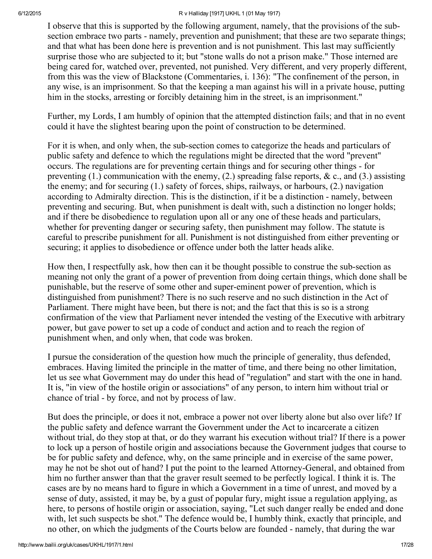I observe that this is supported by the following argument, namely, that the provisions of the subsection embrace two parts - namely, prevention and punishment; that these are two separate things; and that what has been done here is prevention and is not punishment. This last may sufficiently surprise those who are subjected to it; but "stone walls do not a prison make." Those interned are being cared for, watched over, prevented, not punished. Very different, and very properly different, from this was the view of Blackstone (Commentaries, i. 136): "The confinement of the person, in any wise, is an imprisonment. So that the keeping a man against his will in a private house, putting him in the stocks, arresting or forcibly detaining him in the street, is an imprisonment."

Further, my Lords, I am humbly of opinion that the attempted distinction fails; and that in no event could it have the slightest bearing upon the point of construction to be determined.

For it is when, and only when, the sub-section comes to categorize the heads and particulars of public safety and defence to which the regulations might be directed that the word "prevent" occurs. The regulations are for preventing certain things and for securing other things - for preventing (1.) communication with the enemy, (2.) spreading false reports,  $\&c$ , and (3.) assisting the enemy; and for securing (1.) safety of forces, ships, railways, or harbours, (2.) navigation according to Admiralty direction. This is the distinction, if it be a distinction namely, between preventing and securing. But, when punishment is dealt with, such a distinction no longer holds; and if there be disobedience to regulation upon all or any one of these heads and particulars, whether for preventing danger or securing safety, then punishment may follow. The statute is careful to prescribe punishment for all. Punishment is not distinguished from either preventing or securing; it applies to disobedience or offence under both the latter heads alike.

How then, I respectfully ask, how then can it be thought possible to construe the sub-section as meaning not only the grant of a power of prevention from doing certain things, which done shall be punishable, but the reserve of some other and super-eminent power of prevention, which is distinguished from punishment? There is no such reserve and no such distinction in the Act of Parliament. There might have been, but there is not; and the fact that this is so is a strong confirmation of the view that Parliament never intended the vesting of the Executive with arbitrary power, but gave power to set up a code of conduct and action and to reach the region of punishment when, and only when, that code was broken.

I pursue the consideration of the question how much the principle of generality, thus defended, embraces. Having limited the principle in the matter of time, and there being no other limitation, let us see what Government may do under this head of "regulation" and start with the one in hand. It is, "in view of the hostile origin or associations" of any person, to intern him without trial or chance of trial - by force, and not by process of law.

But does the principle, or does it not, embrace a power not over liberty alone but also over life? If the public safety and defence warrant the Government under the Act to incarcerate a citizen without trial, do they stop at that, or do they warrant his execution without trial? If there is a power to lock up a person of hostile origin and associations because the Government judges that course to be for public safety and defence, why, on the same principle and in exercise of the same power, may he not be shot out of hand? I put the point to the learned Attorney-General, and obtained from him no further answer than that the graver result seemed to be perfectly logical. I think it is. The cases are by no means hard to figure in which a Government in a time of unrest, and moved by a sense of duty, assisted, it may be, by a gust of popular fury, might issue a regulation applying, as here, to persons of hostile origin or association, saying, "Let such danger really be ended and done with, let such suspects be shot." The defence would be, I humbly think, exactly that principle, and no other, on which the judgments of the Courts below are founded namely, that during the war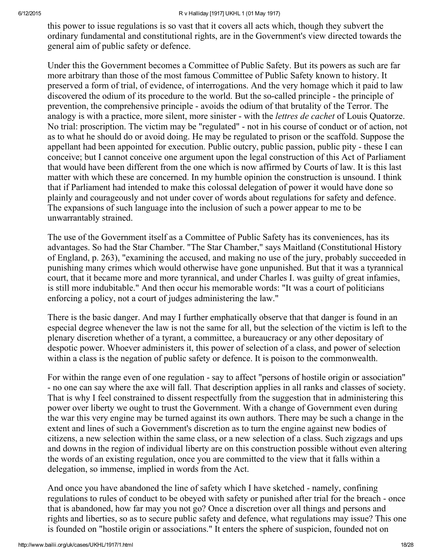this power to issue regulations is so vast that it covers all acts which, though they subvert the ordinary fundamental and constitutional rights, are in the Government's view directed towards the general aim of public safety or defence.

Under this the Government becomes a Committee of Public Safety. But its powers as such are far more arbitrary than those of the most famous Committee of Public Safety known to history. It preserved a form of trial, of evidence, of interrogations. And the very homage which it paid to law discovered the odium of its procedure to the world. But the so-called principle - the principle of prevention, the comprehensive principle avoids the odium of that brutality of the Terror. The analogy is with a practice, more silent, more sinister - with the *lettres de cachet* of Louis Quatorze. No trial: proscription. The victim may be "regulated" - not in his course of conduct or of action, not as to what he should do or avoid doing. He may be regulated to prison or the scaffold. Suppose the appellant had been appointed for execution. Public outcry, public passion, public pity these I can conceive; but I cannot conceive one argument upon the legal construction of this Act of Parliament that would have been different from the one which is now affirmed by Courts of law. It is this last matter with which these are concerned. In my humble opinion the construction is unsound. I think that if Parliament had intended to make this colossal delegation of power it would have done so plainly and courageously and not under cover of words about regulations for safety and defence. The expansions of such language into the inclusion of such a power appear to me to be unwarrantably strained.

The use of the Government itself as a Committee of Public Safety has its conveniences, has its advantages. So had the Star Chamber. "The Star Chamber," says Maitland (Constitutional History of England, p. 263), "examining the accused, and making no use of the jury, probably succeeded in punishing many crimes which would otherwise have gone unpunished. But that it was a tyrannical court, that it became more and more tyrannical, and under Charles I. was guilty of great infamies, is still more indubitable." And then occur his memorable words: "It was a court of politicians enforcing a policy, not a court of judges administering the law."

There is the basic danger. And may I further emphatically observe that that danger is found in an especial degree whenever the law is not the same for all, but the selection of the victim is left to the plenary discretion whether of a tyrant, a committee, a bureaucracy or any other depositary of despotic power. Whoever administers it, this power of selection of a class, and power of selection within a class is the negation of public safety or defence. It is poison to the commonwealth.

For within the range even of one regulation - say to affect "persons of hostile origin or association" no one can say where the axe will fall. That description applies in all ranks and classes of society. That is why I feel constrained to dissent respectfully from the suggestion that in administering this power over liberty we ought to trust the Government. With a change of Government even during the war this very engine may be turned against its own authors. There may be such a change in the extent and lines of such a Government's discretion as to turn the engine against new bodies of citizens, a new selection within the same class, or a new selection of a class. Such zigzags and ups and downs in the region of individual liberty are on this construction possible without even altering the words of an existing regulation, once you are committed to the view that it falls within a delegation, so immense, implied in words from the Act.

And once you have abandoned the line of safety which I have sketched - namely, confining regulations to rules of conduct to be obeyed with safety or punished after trial for the breach - once that is abandoned, how far may you not go? Once a discretion over all things and persons and rights and liberties, so as to secure public safety and defence, what regulations may issue? This one is founded on "hostile origin or associations." It enters the sphere of suspicion, founded not on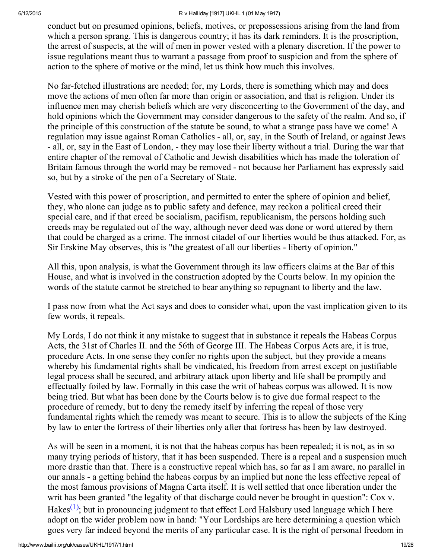conduct but on presumed opinions, beliefs, motives, or prepossessions arising from the land from which a person sprang. This is dangerous country; it has its dark reminders. It is the proscription, the arrest of suspects, at the will of men in power vested with a plenary discretion. If the power to issue regulations meant thus to warrant a passage from proof to suspicion and from the sphere of action to the sphere of motive or the mind, let us think how much this involves.

No far-fetched illustrations are needed; for, my Lords, there is something which may and does move the actions of men often far more than origin or association, and that is religion. Under its influence men may cherish beliefs which are very disconcerting to the Government of the day, and hold opinions which the Government may consider dangerous to the safety of the realm. And so, if the principle of this construction of the statute be sound, to what a strange pass have we come! A regulation may issue against Roman Catholics - all, or, say, in the South of Ireland, or against Jews all, or, say in the East of London, they may lose their liberty without a trial. During the war that entire chapter of the removal of Catholic and Jewish disabilities which has made the toleration of Britain famous through the world may be removed - not because her Parliament has expressly said so, but by a stroke of the pen of a Secretary of State.

Vested with this power of proscription, and permitted to enter the sphere of opinion and belief, they, who alone can judge as to public safety and defence, may reckon a political creed their special care, and if that creed be socialism, pacifism, republicanism, the persons holding such creeds may be regulated out of the way, although never deed was done or word uttered by them that could be charged as a crime. The inmost citadel of our liberties would be thus attacked. For, as Sir Erskine May observes, this is "the greatest of all our liberties - liberty of opinion."

All this, upon analysis, is what the Government through its law officers claims at the Bar of this House, and what is involved in the construction adopted by the Courts below. In my opinion the words of the statute cannot be stretched to bear anything so repugnant to liberty and the law.

I pass now from what the Act says and does to consider what, upon the vast implication given to its few words, it repeals.

My Lords, I do not think it any mistake to suggest that in substance it repeals the Habeas Corpus Acts, the 31st of Charles II. and the 56th of George III. The Habeas Corpus Acts are, it is true, procedure Acts. In one sense they confer no rights upon the subject, but they provide a means whereby his fundamental rights shall be vindicated, his freedom from arrest except on justifiable legal process shall be secured, and arbitrary attack upon liberty and life shall be promptly and effectually foiled by law. Formally in this case the writ of habeas corpus was allowed. It is now being tried. But what has been done by the Courts below is to give due formal respect to the procedure of remedy, but to deny the remedy itself by inferring the repeal of those very fundamental rights which the remedy was meant to secure. This is to allow the subjects of the King by law to enter the fortress of their liberties only after that fortress has been by law destroyed.

As will be seen in a moment, it is not that the habeas corpus has been repealed; it is not, as in so many trying periods of history, that it has been suspended. There is a repeal and a suspension much more drastic than that. There is a constructive repeal which has, so far as I am aware, no parallel in our annals - a getting behind the habeas corpus by an implied but none the less effective repeal of the most famous provisions of Magna Carta itself. It is well settled that once liberation under the writ has been granted "the legality of that discharge could never be brought in question": Cox v. Hakes<sup>(1)</sup>; but in pronouncing judgment to that effect Lord Halsbury used language which I here adopt on the wider problem now in hand: "Your Lordships are here determining a question which goes very far indeed beyond the merits of any particular case. It is the right of personal freedom in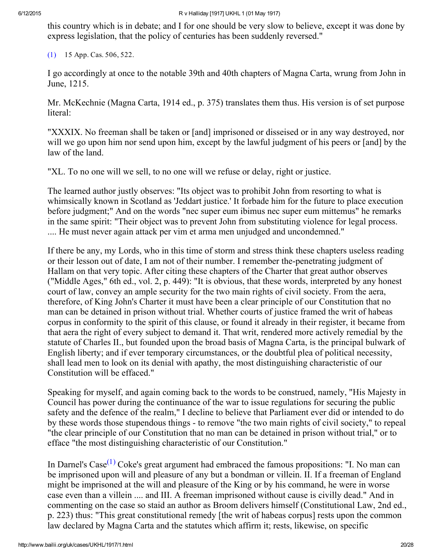this country which is in debate; and I for one should be very slow to believe, except it was done by express legislation, that the policy of centuries has been suddenly reversed."

(1) 15 App. Cas. 506, 522.

I go accordingly at once to the notable 39th and 40th chapters of Magna Carta, wrung from John in June, 1215.

Mr. McKechnie (Magna Carta, 1914 ed., p. 375) translates them thus. His version is of set purpose literal:

"XXXIX. No freeman shall be taken or [and] imprisoned or disseised or in any way destroyed, nor will we go upon him nor send upon him, except by the lawful judgment of his peers or [and] by the law of the land.

"XL. To no one will we sell, to no one will we refuse or delay, right or justice.

The learned author justly observes: "Its object was to prohibit John from resorting to what is whimsically known in Scotland as 'Jeddart justice.' It forbade him for the future to place execution before judgment;" And on the words "nec super eum ibimus nec super eum mittemus" he remarks in the same spirit: "Their object was to prevent John from substituting violence for legal process. .... He must never again attack per vim et arma men unjudged and uncondemned."

If there be any, my Lords, who in this time of storm and stress think these chapters useless reading or their lesson out of date, I am not of their number. I remember the-penetrating judgment of Hallam on that very topic. After citing these chapters of the Charter that great author observes ("Middle Ages," 6th ed., vol. 2, p. 449): "It is obvious, that these words, interpreted by any honest court of law, convey an ample security for the two main rights of civil society. From the aera, therefore, of King John's Charter it must have been a clear principle of our Constitution that no man can be detained in prison without trial. Whether courts of justice framed the writ of habeas corpus in conformity to the spirit of this clause, or found it already in their register, it became from that aera the right of every subject to demand it. That writ, rendered more actively remedial by the statute of Charles II., but founded upon the broad basis of Magna Carta, is the principal bulwark of English liberty; and if ever temporary circumstances, or the doubtful plea of political necessity, shall lead men to look on its denial with apathy, the most distinguishing characteristic of our Constitution will be effaced."

Speaking for myself, and again coming back to the words to be construed, namely, "His Majesty in Council has power during the continuance of the war to issue regulations for securing the public safety and the defence of the realm," I decline to believe that Parliament ever did or intended to do by these words those stupendous things - to remove "the two main rights of civil society," to repeal "the clear principle of our Constitution that no man can be detained in prison without trial," or to efface "the most distinguishing characteristic of our Constitution."

In Darnel's Case<sup>(1)</sup> Coke's great argument had embraced the famous propositions: "I. No man can be imprisoned upon will and pleasure of any but a bondman or villein. II. If a freeman of England might be imprisoned at the will and pleasure of the King or by his command, he were in worse case even than a villein .... and III. A freeman imprisoned without cause is civilly dead." And in commenting on the case so staid an author as Broom delivers himself (Constitutional Law, 2nd ed., p. 223) thus: "This great constitutional remedy [the writ of habeas corpus] rests upon the common law declared by Magna Carta and the statutes which affirm it; rests, likewise, on specific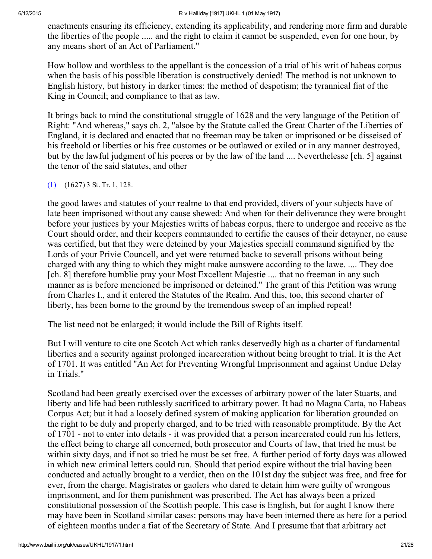enactments ensuring its efficiency, extending its applicability, and rendering more firm and durable the liberties of the people ..... and the right to claim it cannot be suspended, even for one hour, by any means short of an Act of Parliament."

How hollow and worthless to the appellant is the concession of a trial of his writ of habeas corpus when the basis of his possible liberation is constructively denied! The method is not unknown to English history, but history in darker times: the method of despotism; the tyrannical fiat of the King in Council; and compliance to that as law.

It brings back to mind the constitutional struggle of 1628 and the very language of the Petition of Right: "And whereas," says ch. 2, "alsoe by the Statute called the Great Charter of the Liberties of England, it is declared and enacted that no freeman may be taken or imprisoned or be disseised of his freehold or liberties or his free customes or be outlawed or exiled or in any manner destroyed, but by the lawful judgment of his peeres or by the law of the land .... Neverthelesse [ch. 5] against the tenor of the said statutes, and other

### (1) (1627) 3 St. Tr. 1, 128.

the good lawes and statutes of your realme to that end provided, divers of your subjects have of late been imprisoned without any cause shewed: And when for their deliverance they were brought before your justices by your Majesties writts of habeas corpus, there to undergoe and receive as the Court should order, and their keepers commaunded to certifie the causes of their detayner, no cause was certified, but that they were deteined by your Majesties speciall commaund signified by the Lords of your Privie Councell, and yet were returned backe to severall prisons without being charged with any thing to which they might make aunswere according to the lawe. .... They doe [ch. 8] therefore humblie pray your Most Excellent Majestie .... that no freeman in any such manner as is before mencioned be imprisoned or deteined." The grant of this Petition was wrung from Charles I., and it entered the Statutes of the Realm. And this, too, this second charter of liberty, has been borne to the ground by the tremendous sweep of an implied repeal!

The list need not be enlarged; it would include the Bill of Rights itself.

But I will venture to cite one Scotch Act which ranks deservedly high as a charter of fundamental liberties and a security against prolonged incarceration without being brought to trial. It is the Act of 1701. It was entitled "An Act for Preventing Wrongful Imprisonment and against Undue Delay in Trials."

Scotland had been greatly exercised over the excesses of arbitrary power of the later Stuarts, and liberty and life had been ruthlessly sacrificed to arbitrary power. It had no Magna Carta, no Habeas Corpus Act; but it had a loosely defined system of making application for liberation grounded on the right to be duly and properly charged, and to be tried with reasonable promptitude. By the Act of 1701 - not to enter into details - it was provided that a person incarcerated could run his letters, the effect being to charge all concerned, both prosecutor and Courts of law, that tried he must be within sixty days, and if not so tried he must be set free. A further period of forty days was allowed in which new criminal letters could run. Should that period expire without the trial having been conducted and actually brought to a verdict, then on the 101st day the subject was free, and free for ever, from the charge. Magistrates or gaolers who dared te detain him were guilty of wrongous imprisonment, and for them punishment was prescribed. The Act has always been a prized constitutional possession of the Scottish people. This case is English, but for aught I know there may have been in Scotland similar cases: persons may have been interned there as here for a period of eighteen months under a fiat of the Secretary of State. And I presume that that arbitrary act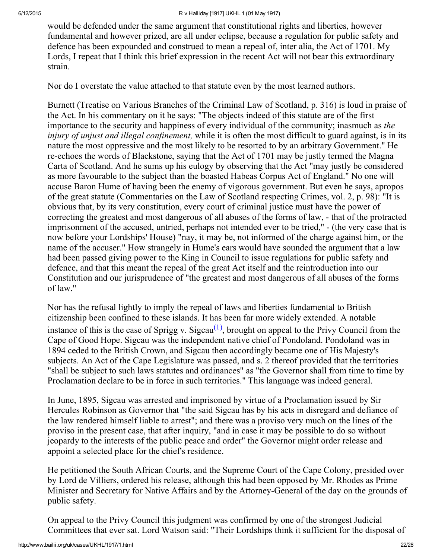would be defended under the same argument that constitutional rights and liberties, however fundamental and however prized, are all under eclipse, because a regulation for public safety and defence has been expounded and construed to mean a repeal of, inter alia, the Act of 1701. My Lords, I repeat that I think this brief expression in the recent Act will not bear this extraordinary strain.

Nor do I overstate the value attached to that statute even by the most learned authors.

Burnett (Treatise on Various Branches of the Criminal Law of Scotland, p. 316) is loud in praise of the Act. In his commentary on it he says: "The objects indeed of this statute are of the first importance to the security and happiness of every individual of the community; inasmuch as the injury of unjust and illegal confinement, while it is often the most difficult to guard against, is in its nature the most oppressive and the most likely to be resorted to by an arbitrary Government." He re-echoes the words of Blackstone, saying that the Act of 1701 may be justly termed the Magna Carta of Scotland. And he sums up his eulogy by observing that the Act "may justly be considered as more favourable to the subject than the boasted Habeas Corpus Act of England." No one will accuse Baron Hume of having been the enemy of vigorous government. But even he says, apropos of the great statute (Commentaries on the Law of Scotland respecting Crimes, vol. 2, p. 98): "It is obvious that, by its very constitution, every court of criminal justice must have the power of correcting the greatest and most dangerous of all abuses of the forms of law, that of the protracted imprisonment of the accused, untried, perhaps not intended ever to be tried," - (the very case that is now before your Lordships' House) "nay, it may be, not informed of the charge against him, or the name of the accuser." How strangely in Hume's ears would have sounded the argument that a law had been passed giving power to the King in Council to issue regulations for public safety and defence, and that this meant the repeal of the great Act itself and the reintroduction into our Constitution and our jurisprudence of "the greatest and most dangerous of all abuses of the forms of law."

Nor has the refusal lightly to imply the repeal of laws and liberties fundamental to British citizenship been confined to these islands. It has been far more widely extended. A notable instance of this is the case of Sprigg v. Sigcau $(1)$ , brought on appeal to the Privy Council from the Cape of Good Hope. Sigcau was the independent native chief of Pondoland. Pondoland was in 1894 ceded to the British Crown, and Sigcau then accordingly became one of His Majesty's subjects. An Act of the Cape Legislature was passed, and s. 2 thereof provided that the territories "shall be subject to such laws statutes and ordinances" as "the Governor shall from time to time by Proclamation declare to be in force in such territories." This language was indeed general.

In June, 1895, Sigcau was arrested and imprisoned by virtue of a Proclamation issued by Sir Hercules Robinson as Governor that "the said Sigcau has by his acts in disregard and defiance of the law rendered himself liable to arrest"; and there was a proviso very much on the lines of the proviso in the present case, that after inquiry, "and in case it may be possible to do so without jeopardy to the interests of the public peace and order" the Governor might order release and appoint a selected place for the chief's residence.

He petitioned the South African Courts, and the Supreme Court of the Cape Colony, presided over by Lord de Villiers, ordered his release, although this had been opposed by Mr. Rhodes as Prime Minister and Secretary for Native Affairs and by the Attorney-General of the day on the grounds of public safety.

On appeal to the Privy Council this judgment was confirmed by one of the strongest Judicial Committees that ever sat. Lord Watson said: "Their Lordships think it sufficient for the disposal of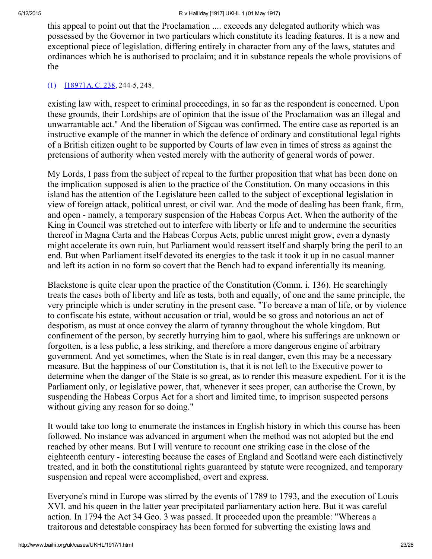this appeal to point out that the Proclamation .... exceeds any delegated authority which was possessed by the Governor in two particulars which constitute its leading features. It is a new and exceptional piece of legislation, differing entirely in character from any of the laws, statutes and ordinances which he is authorised to proclaim; and it in substance repeals the whole provisions of the

### (1) [\[1897\]](http://www.bailii.org/uk/cases/UKPC/1897/1897_5.html) A. C. 238, 244-5, 248.

existing law with, respect to criminal proceedings, in so far as the respondent is concerned. Upon these grounds, their Lordships are of opinion that the issue of the Proclamation was an illegal and unwarrantable act." And the liberation of Sigcau was confirmed. The entire case as reported is an instructive example of the manner in which the defence of ordinary and constitutional legal rights of a British citizen ought to be supported by Courts of law even in times of stress as against the pretensions of authority when vested merely with the authority of general words of power.

My Lords, I pass from the subject of repeal to the further proposition that what has been done on the implication supposed is alien to the practice of the Constitution. On many occasions in this island has the attention of the Legislature been called to the subject of exceptional legislation in view of foreign attack, political unrest, or civil war. And the mode of dealing has been frank, firm, and open - namely, a temporary suspension of the Habeas Corpus Act. When the authority of the King in Council was stretched out to interfere with liberty or life and to undermine the securities thereof in Magna Carta and the Habeas Corpus Acts, public unrest might grow, even a dynasty might accelerate its own ruin, but Parliament would reassert itself and sharply bring the peril to an end. But when Parliament itself devoted its energies to the task it took it up in no casual manner and left its action in no form so covert that the Bench had to expand inferentially its meaning.

Blackstone is quite clear upon the practice of the Constitution (Comm. i. 136). He searchingly treats the cases both of liberty and life as tests, both and equally, of one and the same principle, the very principle which is under scrutiny in the present case. "To bereave a man of life, or by violence to confiscate his estate, without accusation or trial, would be so gross and notorious an act of despotism, as must at once convey the alarm of tyranny throughout the whole kingdom. But confinement of the person, by secretly hurrying him to gaol, where his sufferings are unknown or forgotten, is a less public, a less striking, and therefore a more dangerous engine of arbitrary government. And yet sometimes, when the State is in real danger, even this may be a necessary measure. But the happiness of our Constitution is, that it is not left to the Executive power to determine when the danger of the State is so great, as to render this measure expedient. For it is the Parliament only, or legislative power, that, whenever it sees proper, can authorise the Crown, by suspending the Habeas Corpus Act for a short and limited time, to imprison suspected persons without giving any reason for so doing."

It would take too long to enumerate the instances in English history in which this course has been followed. No instance was advanced in argument when the method was not adopted but the end reached by other means. But I will venture to recount one striking case in the close of the eighteenth century - interesting because the cases of England and Scotland were each distinctively treated, and in both the constitutional rights guaranteed by statute were recognized, and temporary suspension and repeal were accomplished, overt and express.

Everyone's mind in Europe was stirred by the events of 1789 to 1793, and the execution of Louis XVI. and his queen in the latter year precipitated parliamentary action here. But it was careful action. In 1794 the Act 34 Geo. 3 was passed. It proceeded upon the preamble: "Whereas a traitorous and detestable conspiracy has been formed for subverting the existing laws and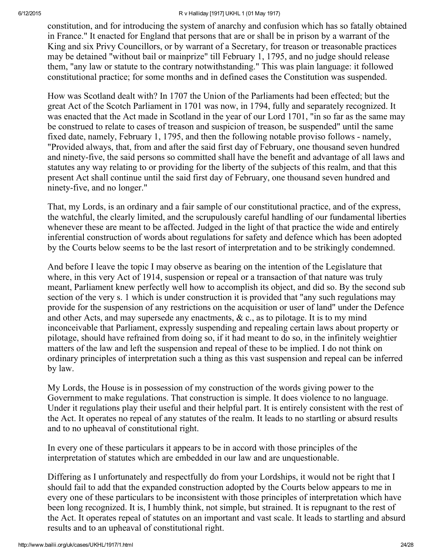constitution, and for introducing the system of anarchy and confusion which has so fatally obtained in France." It enacted for England that persons that are or shall be in prison by a warrant of the King and six Privy Councillors, or by warrant of a Secretary, for treason or treasonable practices may be detained "without bail or mainprize" till February 1, 1795, and no judge should release them, "any law or statute to the contrary notwithstanding." This was plain language: it followed constitutional practice; for some months and in defined cases the Constitution was suspended.

How was Scotland dealt with? In 1707 the Union of the Parliaments had been effected; but the great Act of the Scotch Parliament in 1701 was now, in 1794, fully and separately recognized. It was enacted that the Act made in Scotland in the year of our Lord 1701, "in so far as the same may be construed to relate to cases of treason and suspicion of treason, be suspended" until the same fixed date, namely, February 1, 1795, and then the following notable proviso follows namely, "Provided always, that, from and after the said first day of February, one thousand seven hundred and ninety-five, the said persons so committed shall have the benefit and advantage of all laws and statutes any way relating to or providing for the liberty of the subjects of this realm, and that this present Act shall continue until the said first day of February, one thousand seven hundred and ninety-five, and no longer."

That, my Lords, is an ordinary and a fair sample of our constitutional practice, and of the express, the watchful, the clearly limited, and the scrupulously careful handling of our fundamental liberties whenever these are meant to be affected. Judged in the light of that practice the wide and entirely inferential construction of words about regulations for safety and defence which has been adopted by the Courts below seems to be the last resort of interpretation and to be strikingly condemned.

And before I leave the topic I may observe as bearing on the intention of the Legislature that where, in this very Act of 1914, suspension or repeal or a transaction of that nature was truly meant, Parliament knew perfectly well how to accomplish its object, and did so. By the second sub section of the very s. 1 which is under construction it is provided that "any such regulations may provide for the suspension of any restrictions on the acquisition or user of land" under the Defence and other Acts, and may supersede any enactments,  $\&c$ , as to pilotage. It is to my mind inconceivable that Parliament, expressly suspending and repealing certain laws about property or pilotage, should have refrained from doing so, if it had meant to do so, in the infinitely weightier matters of the law and left the suspension and repeal of these to be implied. I do not think on ordinary principles of interpretation such a thing as this vast suspension and repeal can be inferred by law.

My Lords, the House is in possession of my construction of the words giving power to the Government to make regulations. That construction is simple. It does violence to no language. Under it regulations play their useful and their helpful part. It is entirely consistent with the rest of the Act. It operates no repeal of any statutes of the realm. It leads to no startling or absurd results and to no upheaval of constitutional right.

In every one of these particulars it appears to be in accord with those principles of the interpretation of statutes which are embedded in our law and are unquestionable.

Differing as I unfortunately and respectfully do from your Lordships, it would not be right that I should fail to add that the expanded construction adopted by the Courts below appears to me in every one of these particulars to be inconsistent with those principles of interpretation which have been long recognized. It is, I humbly think, not simple, but strained. It is repugnant to the rest of the Act. It operates repeal of statutes on an important and vast scale. It leads to startling and absurd results and to an upheaval of constitutional right.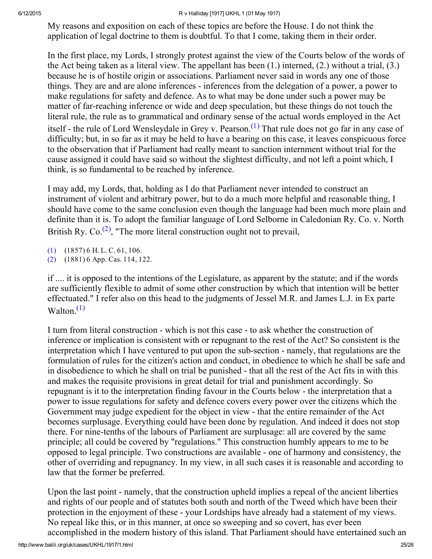My reasons and exposition on each of these topics are before the House. I do not think the application of legal doctrine to them is doubtful. To that I come, taking them in their order.

In the first place, my Lords, I strongly protest against the view of the Courts below of the words of the Act being taken as a literal view. The appellant has been (1.) interned, (2.) without a trial, (3.) because he is of hostile origin or associations. Parliament never said in words any one of those things. They are and are alone inferences - inferences from the delegation of a power, a power to make regulations for safety and defence. As to what may be done under such a power may be matter of far-reaching inference or wide and deep speculation, but these things do not touch the literal rule, the rule as to grammatical and ordinary sense of the actual words employed in the Act itself - the rule of Lord Wensleydale in Grey v. Pearson.<sup>(1)</sup> That rule does not go far in any case of difficulty; but, in so far as it may be held to have a bearing on this case, it leaves conspicuous force to the observation that if Parliament had really meant to sanction internment without trial for the cause assigned it could have said so without the slightest difficulty, and not left a point which, I think, is so fundamental to be reached by inference.

I may add, my Lords, that, holding as I do that Parliament never intended to construct an instrument of violent and arbitrary power, but to do a much more helpful and reasonable thing, I should have come to the same conclusion even though the language had been much more plain and definite than it is. To adopt the familiar language of Lord Selborne in Caledonian Ry. Co. v. North British Ry. Co.<sup>(2)</sup>, "The more literal construction ought not to prevail,

- (1) (1857) 6 H. L. C. 61, 106.
- (2) (1881) 6 App. Cas. 114, 122.

if .... it is opposed to the intentions of the Legislature, as apparent by the statute; and if the words are sufficiently flexible to admit of some other construction by which that intention will be better effectuated." I refer also on this head to the judgments of Jessel M.R. and James L.J. in Ex parte Walton. (1)

I turn from literal construction - which is not this case - to ask whether the construction of inference or implication is consistent with or repugnant to the rest of the Act? So consistent is the interpretation which I have ventured to put upon the sub-section - namely, that regulations are the formulation of rules for the citizen's action and conduct, in obedience to which he shall be safe and in disobedience to which he shall on trial be punished that all the rest of the Act fits in with this and makes the requisite provisions in great detail for trial and punishment accordingly. So repugnant is it to the interpretation finding favour in the Courts below - the interpretation that a power to issue regulations for safety and defence covers every power over the citizens which the Government may judge expedient for the object in view - that the entire remainder of the Act becomes surplusage. Everything could have been done by regulation. And indeed it does not stop there. For nine-tenths of the labours of Parliament are surplusage: all are covered by the same principle; all could be covered by "regulations." This construction humbly appears to me to be opposed to legal principle. Two constructions are available - one of harmony and consistency, the other of overriding and repugnancy. In my view, in all such cases it is reasonable and according to law that the former be preferred.

Upon the last point - namely, that the construction upheld implies a repeal of the ancient liberties and rights of our people and of statutes both south and north of the Tweed which have been their protection in the enjoyment of these - your Lordships have already had a statement of my views. No repeal like this, or in this manner, at once so sweeping and so covert, has ever been accomplished in the modern history of this island. That Parliament should have entertained such an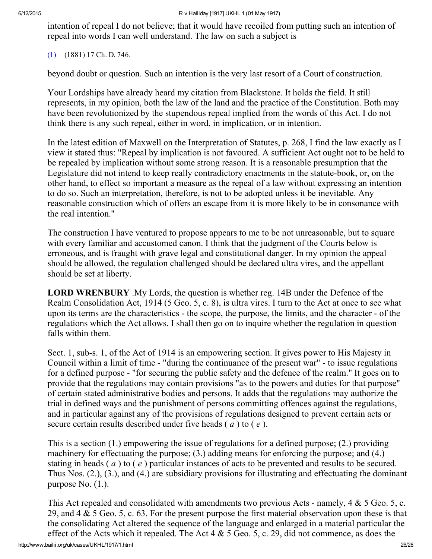intention of repeal I do not believe; that it would have recoiled from putting such an intention of repeal into words I can well understand. The law on such a subject is

(1) (1881) 17 Ch. D. 746.

beyond doubt or question. Such an intention is the very last resort of a Court of construction.

Your Lordships have already heard my citation from Blackstone. It holds the field. It still represents, in my opinion, both the law of the land and the practice of the Constitution. Both may have been revolutionized by the stupendous repeal implied from the words of this Act. I do not think there is any such repeal, either in word, in implication, or in intention.

In the latest edition of Maxwell on the Interpretation of Statutes, p. 268, I find the law exactly as I view it stated thus: "Repeal by implication is not favoured. A sufficient Act ought not to be held to be repealed by implication without some strong reason. It is a reasonable presumption that the Legislature did not intend to keep really contradictory enactments in the statute-book, or, on the other hand, to effect so important a measure as the repeal of a law without expressing an intention to do so. Such an interpretation, therefore, is not to be adopted unless it be inevitable. Any reasonable construction which of offers an escape from it is more likely to be in consonance with the real intention."

The construction I have ventured to propose appears to me to be not unreasonable, but to square with every familiar and accustomed canon. I think that the judgment of the Courts below is erroneous, and is fraught with grave legal and constitutional danger. In my opinion the appeal should be allowed, the regulation challenged should be declared ultra vires, and the appellant should be set at liberty.

LORD WRENBURY .My Lords, the question is whether reg. 14B under the Defence of the Realm Consolidation Act, 1914 (5 Geo. 5, c. 8), is ultra vires. I turn to the Act at once to see what upon its terms are the characteristics - the scope, the purpose, the limits, and the character - of the regulations which the Act allows. I shall then go on to inquire whether the regulation in question falls within them.

Sect. 1, sub-s. 1, of the Act of 1914 is an empowering section. It gives power to His Majesty in Council within a limit of time - "during the continuance of the present war" - to issue regulations for a defined purpose "for securing the public safety and the defence of the realm." It goes on to provide that the regulations may contain provisions "as to the powers and duties for that purpose" of certain stated administrative bodies and persons. It adds that the regulations may authorize the trial in defined ways and the punishment of persons committing offences against the regulations, and in particular against any of the provisions of regulations designed to prevent certain acts or secure certain results described under five heads  $(a)$  to  $(e)$ .

This is a section (1.) empowering the issue of regulations for a defined purpose; (2.) providing machinery for effectuating the purpose; (3.) adding means for enforcing the purpose; and (4.) stating in heads ( $a$ ) to ( $e$ ) particular instances of acts to be prevented and results to be secured. Thus Nos. (2.), (3.), and (4.) are subsidiary provisions for illustrating and effectuating the dominant purpose No. (1.).

http://www.bailii.org/uk/cases/UKHL/1917/1.html 26/28 This Act repealed and consolidated with amendments two previous Acts - namely,  $4 \& 5$  Geo. 5, c. 29, and  $4 \& 5 \text{ Geo. } 5$ , c. 63. For the present purpose the first material observation upon these is that the consolidating Act altered the sequence of the language and enlarged in a material particular the effect of the Acts which it repealed. The Act  $4 \& 5$  Geo. 5, c. 29, did not commence, as does the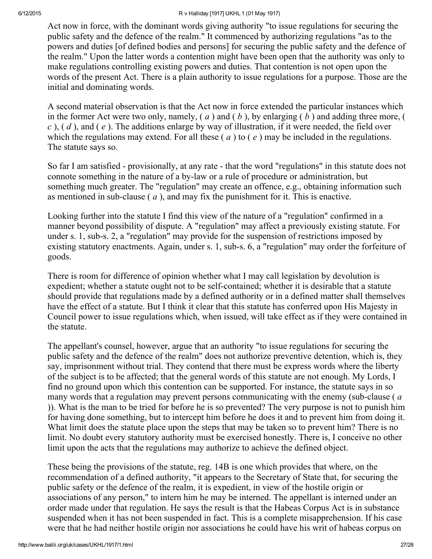Act now in force, with the dominant words giving authority "to issue regulations for securing the public safety and the defence of the realm." It commenced by authorizing regulations "as to the powers and duties [of defined bodies and persons] for securing the public safety and the defence of the realm." Upon the latter words a contention might have been open that the authority was only to make regulations controlling existing powers and duties. That contention is not open upon the words of the present Act. There is a plain authority to issue regulations for a purpose. Those are the initial and dominating words.

A second material observation is that the Act now in force extended the particular instances which in the former Act were two only, namely,  $(a)$  and  $(b)$ , by enlarging  $(b)$  and adding three more,  $(a)$ c), (d), and (e). The additions enlarge by way of illustration, if it were needed, the field over which the regulations may extend. For all these ( $a$ ) to ( $e$ ) may be included in the regulations. The statute says so.

So far I am satisfied - provisionally, at any rate - that the word "regulations" in this statute does not connote something in the nature of a by-law or a rule of procedure or administration, but something much greater. The "regulation" may create an offence, e.g., obtaining information such as mentioned in sub-clause ( $a$ ), and may fix the punishment for it. This is enactive.

Looking further into the statute I find this view of the nature of a "regulation" confirmed in a manner beyond possibility of dispute. A "regulation" may affect a previously existing statute. For under s. 1, sub-s. 2, a "regulation" may provide for the suspension of restrictions imposed by existing statutory enactments. Again, under s. 1, sub-s. 6, a "regulation" may order the forfeiture of goods.

There is room for difference of opinion whether what I may call legislation by devolution is expedient; whether a statute ought not to be self-contained; whether it is desirable that a statute should provide that regulations made by a defined authority or in a defined matter shall themselves have the effect of a statute. But I think it clear that this statute has conferred upon His Majesty in Council power to issue regulations which, when issued, will take effect as if they were contained in the statute.

The appellant's counsel, however, argue that an authority "to issue regulations for securing the public safety and the defence of the realm" does not authorize preventive detention, which is, they say, imprisonment without trial. They contend that there must be express words where the liberty of the subject is to be affected; that the general words of this statute are not enough. My Lords, I find no ground upon which this contention can be supported. For instance, the statute says in so many words that a regulation may prevent persons communicating with the enemy (sub-clause ( $\alpha$ ) )). What is the man to be tried for before he is so prevented? The very purpose is not to punish him for having done something, but to intercept him before he does it and to prevent him from doing it. What limit does the statute place upon the steps that may be taken so to prevent him? There is no limit. No doubt every statutory authority must be exercised honestly. There is, I conceive no other limit upon the acts that the regulations may authorize to achieve the defined object.

These being the provisions of the statute, reg. 14B is one which provides that where, on the recommendation of a defined authority, "it appears to the Secretary of State that, for securing the public safety or the defence of the realm, it is expedient, in view of the hostile origin or associations of any person," to intern him he may be interned. The appellant is interned under an order made under that regulation. He says the result is that the Habeas Corpus Act is in substance suspended when it has not been suspended in fact. This is a complete misapprehension. If his case were that he had neither hostile origin nor associations he could have his writ of habeas corpus on